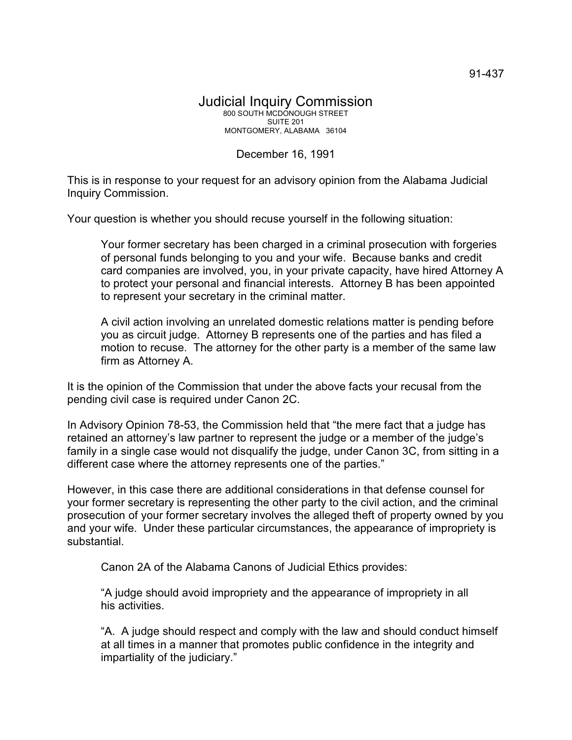## December 16, 1991

This is in response to your request for an advisory opinion from the Alabama Judicial Inquiry Commission.

Your question is whether you should recuse yourself in the following situation:

Your former secretary has been charged in a criminal prosecution with forgeries of personal funds belonging to you and your wife. Because banks and credit card companies are involved, you, in your private capacity, have hired Attorney A to protect your personal and financial interests. Attorney B has been appointed to represent your secretary in the criminal matter.

A civil action involving an unrelated domestic relations matter is pending before you as circuit judge. Attorney B represents one of the parties and has filed a motion to recuse. The attorney for the other party is a member of the same law firm as Attorney A.

It is the opinion of the Commission that under the above facts your recusal from the pending civil case is required under Canon 2C.

In Advisory Opinion 78-53, the Commission held that "the mere fact that a judge has retained an attorney's law partner to represent the judge or a member of the judge's family in a single case would not disqualify the judge, under Canon 3C, from sitting in a different case where the attorney represents one of the parties."

However, in this case there are additional considerations in that defense counsel for your former secretary is representing the other party to the civil action, and the criminal prosecution of your former secretary involves the alleged theft of property owned by you and your wife. Under these particular circumstances, the appearance of impropriety is substantial.

Canon 2A of the Alabama Canons of Judicial Ethics provides:

"A judge should avoid impropriety and the appearance of impropriety in all his activities.

"A. A judge should respect and comply with the law and should conduct himself at all times in a manner that promotes public confidence in the integrity and impartiality of the judiciary."